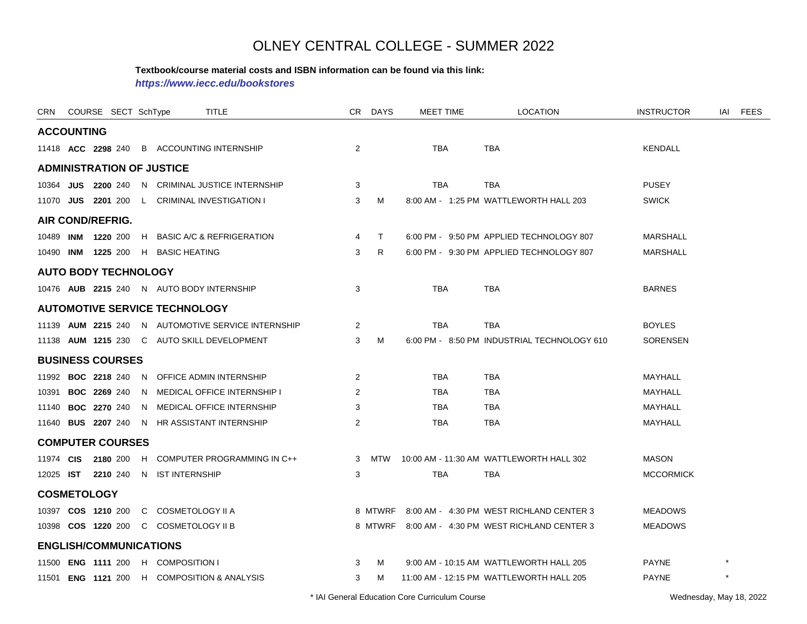#### **Textbook/course material costs and ISBN information can be found via this link:**

*https://www.iecc.edu/bookstores*

| CRN               |           | COURSE SECT SchType           |    |                                       | <b>TITLE</b>                                       |                | CR DAYS | <b>MEET TIME</b> | <b>LOCATION</b>                                  | <b>INSTRUCTOR</b> | IAI     | <b>FEES</b> |
|-------------------|-----------|-------------------------------|----|---------------------------------------|----------------------------------------------------|----------------|---------|------------------|--------------------------------------------------|-------------------|---------|-------------|
| <b>ACCOUNTING</b> |           |                               |    |                                       |                                                    |                |         |                  |                                                  |                   |         |             |
|                   |           | 11418 ACC 2298 240            |    |                                       | <b>B</b> ACCOUNTING INTERNSHIP                     | 2              |         | <b>TBA</b>       | <b>TBA</b>                                       | <b>KENDALL</b>    |         |             |
|                   |           |                               |    | <b>ADMINISTRATION OF JUSTICE</b>      |                                                    |                |         |                  |                                                  |                   |         |             |
|                   |           | 10364 JUS 2200 240            |    |                                       | N CRIMINAL JUSTICE INTERNSHIP                      | 3              |         | TBA              | TBA                                              | <b>PUSEY</b>      |         |             |
|                   |           | 11070 JUS 2201 200            |    |                                       | L CRIMINAL INVESTIGATION I                         | 3              | M       |                  | 8:00 AM - 1:25 PM WATTLEWORTH HALL 203           | <b>SWICK</b>      |         |             |
|                   |           | <b>AIR COND/REFRIG.</b>       |    |                                       |                                                    |                |         |                  |                                                  |                   |         |             |
| 10489             |           | <b>INM 1220 200</b>           |    |                                       | H BASIC A/C & REFRIGERATION                        | 4              | $\top$  |                  | 6:00 PM - 9:50 PM APPLIED TECHNOLOGY 807         | <b>MARSHALL</b>   |         |             |
|                   |           |                               |    | 10490 INM 1225 200 H BASIC HEATING    |                                                    | 3              | R       |                  | 6:00 PM - 9:30 PM APPLIED TECHNOLOGY 807         | <b>MARSHALL</b>   |         |             |
|                   |           | <b>AUTO BODY TECHNOLOGY</b>   |    |                                       |                                                    |                |         |                  |                                                  |                   |         |             |
|                   |           |                               |    |                                       | 10476 AUB 2215 240 N AUTO BODY INTERNSHIP          | 3              |         | <b>TBA</b>       | <b>TBA</b>                                       | <b>BARNES</b>     |         |             |
|                   |           |                               |    | <b>AUTOMOTIVE SERVICE TECHNOLOGY</b>  |                                                    |                |         |                  |                                                  |                   |         |             |
|                   |           |                               |    |                                       | 11139 AUM 2215 240 N AUTOMOTIVE SERVICE INTERNSHIP | 2              |         | <b>TBA</b>       | <b>TBA</b>                                       | <b>BOYLES</b>     |         |             |
|                   |           |                               |    |                                       | 11138 AUM 1215 230 C AUTO SKILL DEVELOPMENT        | 3              | M       |                  | 6:00 PM - 8:50 PM INDUSTRIAL TECHNOLOGY 610      | <b>SORENSEN</b>   |         |             |
|                   |           | <b>BUSINESS COURSES</b>       |    |                                       |                                                    |                |         |                  |                                                  |                   |         |             |
|                   |           | 11992 <b>BOC 2218</b> 240     |    |                                       | N OFFICE ADMIN INTERNSHIP                          | 2              |         | <b>TBA</b>       | <b>TBA</b>                                       | MAYHALL           |         |             |
| 10391             |           | <b>BOC 2269 240</b>           | N. |                                       | <b>MEDICAL OFFICE INTERNSHIP I</b>                 | $\overline{2}$ |         | <b>TBA</b>       | <b>TBA</b>                                       | <b>MAYHALL</b>    |         |             |
|                   |           | 11140 <b>BOC 2270</b> 240     |    |                                       | N MEDICAL OFFICE INTERNSHIP                        | 3              |         | <b>TBA</b>       | <b>TBA</b>                                       | <b>MAYHALL</b>    |         |             |
|                   |           | 11640 <b>BUS 2207</b> 240     |    |                                       | N HR ASSISTANT INTERNSHIP                          | $\overline{2}$ |         | <b>TBA</b>       | <b>TBA</b>                                       | MAYHALL           |         |             |
|                   |           | <b>COMPUTER COURSES</b>       |    |                                       |                                                    |                |         |                  |                                                  |                   |         |             |
| 11974 CIS         |           | 2180 200                      |    |                                       | H COMPUTER PROGRAMMING IN C++                      |                | 3 MTW   |                  | 10:00 AM - 11:30 AM WATTLEWORTH HALL 302         | <b>MASON</b>      |         |             |
|                   | 12025 IST | 2210 240                      |    | N IST INTERNSHIP                      |                                                    | 3              |         | <b>TBA</b>       | <b>TBA</b>                                       | <b>MCCORMICK</b>  |         |             |
|                   |           | <b>COSMETOLOGY</b>            |    |                                       |                                                    |                |         |                  |                                                  |                   |         |             |
|                   |           | 10397 COS 1210 200            |    | C COSMETOLOGY II A                    |                                                    |                | 8 MTWRF |                  | 8:00 AM - 4:30 PM WEST RICHLAND CENTER 3         | <b>MEADOWS</b>    |         |             |
|                   |           |                               |    | 10398 COS 1220 200 C COSMETOLOGY II B |                                                    |                |         |                  | 8 MTWRF 8:00 AM - 4:30 PM WEST RICHLAND CENTER 3 | <b>MEADOWS</b>    |         |             |
|                   |           | <b>ENGLISH/COMMUNICATIONS</b> |    |                                       |                                                    |                |         |                  |                                                  |                   |         |             |
|                   |           | 11500 <b>ENG 1111</b> 200     |    | H COMPOSITION I                       |                                                    | 3              | м       |                  | 9:00 AM - 10:15 AM WATTLEWORTH HALL 205          | <b>PAYNE</b>      |         |             |
|                   |           |                               |    |                                       | 11501 ENG 1121 200 H COMPOSITION & ANALYSIS        | 3              | M       |                  | 11:00 AM - 12:15 PM WATTLEWORTH HALL 205         | <b>PAYNE</b>      | $\star$ |             |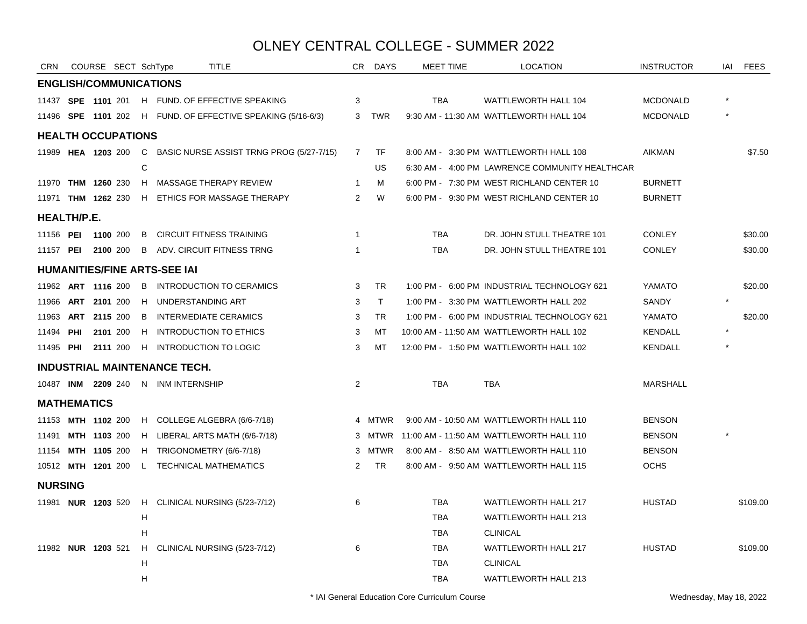| <b>CRN</b>                |              |                     | COURSE SECT SchType |    | TITLE                                                         | CR             | DAYS         | <b>MEET TIME</b> | <b>LOCATION</b>                                | <b>INSTRUCTOR</b> | iai | <b>FEES</b> |
|---------------------------|--------------|---------------------|---------------------|----|---------------------------------------------------------------|----------------|--------------|------------------|------------------------------------------------|-------------------|-----|-------------|
|                           |              |                     |                     |    | <b>ENGLISH/COMMUNICATIONS</b>                                 |                |              |                  |                                                |                   |     |             |
|                           |              |                     |                     |    | 11437 SPE 1101 201 H FUND. OF EFFECTIVE SPEAKING              | 3              |              | <b>TBA</b>       | WATTLEWORTH HALL 104                           | <b>MCDONALD</b>   |     |             |
|                           |              |                     |                     |    | 11496 SPE 1101 202 H FUND. OF EFFECTIVE SPEAKING (5/16-6/3)   |                | 3 TWR        |                  | 9:30 AM - 11:30 AM WATTLEWORTH HALL 104        | <b>MCDONALD</b>   |     |             |
| <b>HEALTH OCCUPATIONS</b> |              |                     |                     |    |                                                               |                |              |                  |                                                |                   |     |             |
|                           |              |                     |                     |    | 11989 HEA 1203 200 C BASIC NURSE ASSIST TRNG PROG (5/27-7/15) | $\overline{7}$ | TF           |                  | 8:00 AM - 3:30 PM WATTLEWORTH HALL 108         | AIKMAN            |     | \$7.50      |
|                           |              |                     |                     | C  |                                                               |                | US           |                  | 6:30 AM - 4:00 PM LAWRENCE COMMUNITY HEALTHCAR |                   |     |             |
| 11970 THM 1260 230        |              |                     |                     | H  | MASSAGE THERAPY REVIEW                                        | -1             | М            |                  | 6:00 PM - 7:30 PM WEST RICHLAND CENTER 10      | <b>BURNETT</b>    |     |             |
| 11971 THM 1262 230        |              |                     |                     |    | H ETHICS FOR MASSAGE THERAPY                                  | 2              | W            |                  | 6:00 PM - 9:30 PM WEST RICHLAND CENTER 10      | <b>BURNETT</b>    |     |             |
| <b>HEALTH/P.E.</b>        |              |                     |                     |    |                                                               |                |              |                  |                                                |                   |     |             |
| 11156 PEI 1100 200        |              |                     |                     |    | <b>B</b> CIRCUIT FITNESS TRAINING                             | $\overline{1}$ |              | <b>TBA</b>       | DR. JOHN STULL THEATRE 101                     | <b>CONLEY</b>     |     | \$30.00     |
| 11157 <b>PEI</b>          |              | <b>2100</b> 200     |                     |    | <b>B</b> ADV. CIRCUIT FITNESS TRNG                            | -1             |              | <b>TBA</b>       | DR. JOHN STULL THEATRE 101                     | <b>CONLEY</b>     |     | \$30.00     |
|                           |              |                     |                     |    | <b>HUMANITIES/FINE ARTS-SEE IAI</b>                           |                |              |                  |                                                |                   |     |             |
| 11962 ART 1116 200        |              |                     |                     | B  | INTRODUCTION TO CERAMICS                                      | 3              | <b>TR</b>    |                  | 1:00 PM - 6:00 PM INDUSTRIAL TECHNOLOGY 621    | YAMATO            |     | \$20.00     |
| 11966                     | ART 2101 200 |                     |                     |    | H UNDERSTANDING ART                                           | 3              | $\mathsf{T}$ |                  | 1:00 PM - 3:30 PM WATTLEWORTH HALL 202         | SANDY             |     |             |
| 11963                     |              | ART 2115 200        |                     | B  | <b>INTERMEDIATE CERAMICS</b>                                  | 3              | <b>TR</b>    |                  | 1:00 PM - 6:00 PM INDUSTRIAL TECHNOLOGY 621    | YAMATO            |     | \$20.00     |
| 11494                     | PHI          |                     | 2101 200            |    | H INTRODUCTION TO ETHICS                                      | 3              | MT           |                  | 10:00 AM - 11:50 AM WATTLEWORTH HALL 102       | <b>KENDALL</b>    |     |             |
| 11495 <b>PHI 2111</b> 200 |              |                     |                     |    | H INTRODUCTION TO LOGIC                                       | 3              | MT           |                  | 12:00 PM - 1:50 PM WATTLEWORTH HALL 102        | <b>KENDALL</b>    |     |             |
|                           |              |                     |                     |    | <b>INDUSTRIAL MAINTENANCE TECH.</b>                           |                |              |                  |                                                |                   |     |             |
|                           |              |                     |                     |    | 10487 INM 2209 240 N INM INTERNSHIP                           | $\overline{2}$ |              | <b>TBA</b>       | <b>TBA</b>                                     | <b>MARSHALL</b>   |     |             |
| <b>MATHEMATICS</b>        |              |                     |                     |    |                                                               |                |              |                  |                                                |                   |     |             |
| 11153 MTH 1102 200        |              |                     |                     |    | H COLLEGE ALGEBRA (6/6-7/18)                                  |                | 4 MTWR       |                  | 9:00 AM - 10:50 AM WATTLEWORTH HALL 110        | <b>BENSON</b>     |     |             |
| 11491                     |              | <b>MTH 1103 200</b> |                     |    | H LIBERAL ARTS MATH (6/6-7/18)                                |                | 3 MTWR       |                  | 11:00 AM - 11:50 AM WATTLEWORTH HALL 110       | <b>BENSON</b>     |     |             |
| 11154                     |              | MTH 1105 200        |                     |    | H TRIGONOMETRY (6/6-7/18)                                     |                | 3 MTWR       |                  | 8:00 AM - 8:50 AM WATTLEWORTH HALL 110         | <b>BENSON</b>     |     |             |
| 10512 MTH 1201 200        |              |                     |                     |    | L TECHNICAL MATHEMATICS                                       | 2              | <b>TR</b>    |                  | 8:00 AM - 9:50 AM WATTLEWORTH HALL 115         | <b>OCHS</b>       |     |             |
| <b>NURSING</b>            |              |                     |                     |    |                                                               |                |              |                  |                                                |                   |     |             |
| 11981 <b>NUR 1203</b> 520 |              |                     |                     |    | H CLINICAL NURSING (5/23-7/12)                                | 6              |              | <b>TBA</b>       | <b>WATTLEWORTH HALL 217</b>                    | <b>HUSTAD</b>     |     | \$109.00    |
|                           |              |                     |                     | H  |                                                               |                |              | <b>TBA</b>       | WATTLEWORTH HALL 213                           |                   |     |             |
|                           |              |                     |                     | н  |                                                               |                |              | <b>TBA</b>       | <b>CLINICAL</b>                                |                   |     |             |
| 11982 <b>NUR 1203</b> 521 |              |                     |                     | H. | CLINICAL NURSING (5/23-7/12)                                  | 6              |              | TBA              | <b>WATTLEWORTH HALL 217</b>                    | <b>HUSTAD</b>     |     | \$109.00    |
|                           |              |                     |                     | н  |                                                               |                |              | <b>TBA</b>       | <b>CLINICAL</b>                                |                   |     |             |
|                           |              |                     |                     | Н  |                                                               |                |              | <b>TBA</b>       | <b>WATTLEWORTH HALL 213</b>                    |                   |     |             |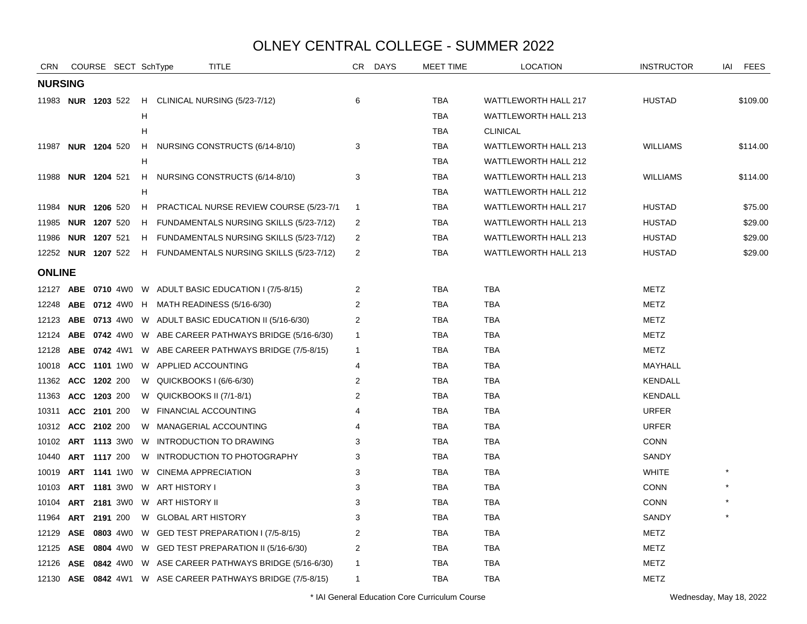| <b>CRN</b>                |     |                     | COURSE SECT SchType |   | TITLE                                                        | CR.            | <b>DAYS</b> | MEET TIME  | <b>LOCATION</b>             | <b>INSTRUCTOR</b> | IAI | <b>FEES</b> |
|---------------------------|-----|---------------------|---------------------|---|--------------------------------------------------------------|----------------|-------------|------------|-----------------------------|-------------------|-----|-------------|
| <b>NURSING</b>            |     |                     |                     |   |                                                              |                |             |            |                             |                   |     |             |
| 11983 <b>NUR 1203</b> 522 |     |                     |                     |   | H CLINICAL NURSING (5/23-7/12)                               | 6              |             | TBA        | WATTLEWORTH HALL 217        | <b>HUSTAD</b>     |     | \$109.00    |
|                           |     |                     |                     | H |                                                              |                |             | TBA        | <b>WATTLEWORTH HALL 213</b> |                   |     |             |
|                           |     |                     |                     | н |                                                              |                |             | <b>TBA</b> | <b>CLINICAL</b>             |                   |     |             |
| 11987 NUR 1204 520        |     |                     |                     |   | H NURSING CONSTRUCTS (6/14-8/10)                             | 3              |             | TBA        | WATTLEWORTH HALL 213        | <b>WILLIAMS</b>   |     | \$114.00    |
|                           |     |                     |                     | H |                                                              |                |             | TBA        | WATTLEWORTH HALL 212        |                   |     |             |
| 11988 <b>NUR 1204</b> 521 |     |                     |                     |   | H NURSING CONSTRUCTS (6/14-8/10)                             | 3              |             | <b>TBA</b> | WATTLEWORTH HALL 213        | <b>WILLIAMS</b>   |     | \$114.00    |
|                           |     |                     |                     | н |                                                              |                |             | <b>TBA</b> | <b>WATTLEWORTH HALL 212</b> |                   |     |             |
| 11984                     |     | <b>NUR 1206 520</b> |                     |   | H PRACTICAL NURSE REVIEW COURSE (5/23-7/1                    | $\overline{1}$ |             | TBA        | WATTLEWORTH HALL 217        | <b>HUSTAD</b>     |     | \$75.00     |
| 11985                     |     | <b>NUR 1207 520</b> |                     |   | H FUNDAMENTALS NURSING SKILLS (5/23-7/12)                    | 2              |             | <b>TBA</b> | <b>WATTLEWORTH HALL 213</b> | <b>HUSTAD</b>     |     | \$29.00     |
| 11986 <b>NUR 1207</b> 521 |     |                     |                     |   | H FUNDAMENTALS NURSING SKILLS (5/23-7/12)                    | $\overline{2}$ |             | TBA        | WATTLEWORTH HALL 213        | <b>HUSTAD</b>     |     | \$29.00     |
|                           |     |                     |                     |   | 12252 NUR 1207 522 H FUNDAMENTALS NURSING SKILLS (5/23-7/12) | 2              |             | <b>TBA</b> | WATTLEWORTH HALL 213        | <b>HUSTAD</b>     |     | \$29.00     |
| <b>ONLINE</b>             |     |                     |                     |   |                                                              |                |             |            |                             |                   |     |             |
| 12127                     |     |                     |                     |   | <b>ABE 0710 4W0 W ADULT BASIC EDUCATION I (7/5-8/15)</b>     | $\overline{c}$ |             | <b>TBA</b> | <b>TBA</b>                  | <b>METZ</b>       |     |             |
| 12248                     |     |                     |                     |   | ABE 0712 4W0 H MATH READINESS (5/16-6/30)                    | 2              |             | TBA        | <b>TBA</b>                  | METZ              |     |             |
| 12123                     |     |                     |                     |   | <b>ABE 0713 4W0 W ADULT BASIC EDUCATION II (5/16-6/30)</b>   | 2              |             | TBA        | <b>TBA</b>                  | METZ              |     |             |
| 12124                     |     |                     |                     |   | ABE 0742 4W0 W ABE CAREER PATHWAYS BRIDGE (5/16-6/30)        | $\mathbf{1}$   |             | TBA        | TBA                         | <b>METZ</b>       |     |             |
| 12128                     |     |                     |                     |   | <b>ABE 0742</b> 4W1 W ABE CAREER PATHWAYS BRIDGE (7/5-8/15)  | $\mathbf{1}$   |             | <b>TBA</b> | <b>TBA</b>                  | <b>METZ</b>       |     |             |
| 10018                     |     |                     |                     |   | <b>ACC 1101 1WO W APPLIED ACCOUNTING</b>                     | 4              |             | <b>TBA</b> | <b>TBA</b>                  | MAYHALL           |     |             |
| 11362                     |     | ACC 1202 200        |                     |   | W QUICKBOOKS I (6/6-6/30)                                    | $\overline{2}$ |             | <b>TBA</b> | <b>TBA</b>                  | <b>KENDALL</b>    |     |             |
| 11363                     |     | ACC 1203 200        |                     |   | W QUICKBOOKS II $(7/1-8/1)$                                  | 2              |             | TBA        | TBA                         | <b>KENDALL</b>    |     |             |
| 10311                     |     | ACC 2101 200        |                     |   | W FINANCIAL ACCOUNTING                                       | 4              |             | TBA        | TBA                         | <b>URFER</b>      |     |             |
| 10312 ACC 2102 200        |     |                     |                     |   | W MANAGERIAL ACCOUNTING                                      | 4              |             | <b>TBA</b> | TBA                         | <b>URFER</b>      |     |             |
| 10102 <b>ART 1113</b> 3W0 |     |                     |                     |   | W INTRODUCTION TO DRAWING                                    | 3              |             | <b>TBA</b> | TBA                         | <b>CONN</b>       |     |             |
| 10440                     |     | ART 1117 200        |                     |   | W INTRODUCTION TO PHOTOGRAPHY                                | 3              |             | <b>TBA</b> | TBA                         | SANDY             |     |             |
| 10019                     |     |                     | <b>ART 1141</b> 1W0 |   | W CINEMA APPRECIATION                                        | 3              |             | <b>TBA</b> | <b>TBA</b>                  | <b>WHITE</b>      |     |             |
| 10103                     |     |                     | <b>ART 1181</b> 3W0 |   | W ART HISTORY I                                              | 3              |             | <b>TBA</b> | <b>TBA</b>                  | <b>CONN</b>       |     |             |
| 10104                     |     |                     |                     |   | ART 2181 3W0 W ART HISTORY II                                | 3              |             | TBA        | TBA                         | <b>CONN</b>       |     |             |
| 11964                     |     | ART 2191 200        |                     |   | W GLOBAL ART HISTORY                                         | 3              |             | <b>TBA</b> | <b>TBA</b>                  | SANDY             |     |             |
| 12129                     |     |                     |                     |   | ASE 0803 4W0 W GED TEST PREPARATION I (7/5-8/15)             | 2              |             | <b>TBA</b> | TBA                         | METZ              |     |             |
| 12125                     |     |                     |                     |   | ASE 0804 4W0 W GED TEST PREPARATION II (5/16-6/30)           | $\overline{2}$ |             | <b>TBA</b> | <b>TBA</b>                  | <b>METZ</b>       |     |             |
| 12126                     | ASE |                     |                     |   | 0842 4W0 W ASE CAREER PATHWAYS BRIDGE (5/16-6/30)            | $\mathbf{1}$   |             | <b>TBA</b> | TBA                         | <b>METZ</b>       |     |             |
|                           |     |                     |                     |   | 12130 ASE 0842 4W1 W ASE CAREER PATHWAYS BRIDGE (7/5-8/15)   | $\mathbf{1}$   |             | <b>TBA</b> | <b>TBA</b>                  | <b>METZ</b>       |     |             |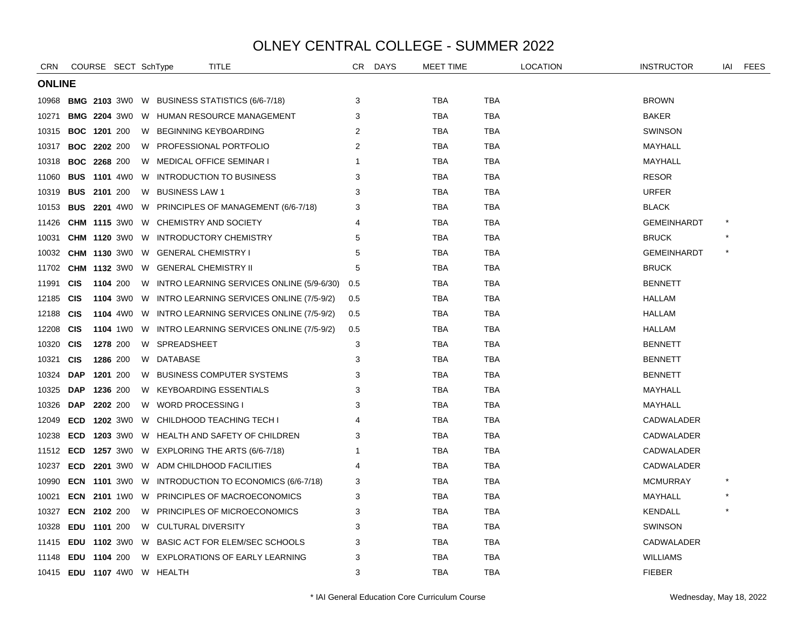| <b>CRN</b>                |                     |          | COURSE SECT SchType |   | <b>TITLE</b>                                               | CR           | DAYS | <b>MEET TIME</b> |            | LOCATION | <b>INSTRUCTOR</b>  | IAI | <b>FEES</b> |
|---------------------------|---------------------|----------|---------------------|---|------------------------------------------------------------|--------------|------|------------------|------------|----------|--------------------|-----|-------------|
|                           | <b>ONLINE</b>       |          |                     |   |                                                            |              |      |                  |            |          |                    |     |             |
| 10968                     |                     |          |                     |   | <b>BMG 2103 3WO W BUSINESS STATISTICS (6/6-7/18)</b>       | 3            |      | TBA              | TBA        |          | <b>BROWN</b>       |     |             |
| 10271                     |                     |          |                     |   | <b>BMG 2204 3W0 W HUMAN RESOURCE MANAGEMENT</b>            | 3            |      | TBA              | TBA        |          | <b>BAKER</b>       |     |             |
| 10315                     | <b>BOC 1201 200</b> |          |                     |   | W BEGINNING KEYBOARDING                                    | 2            |      | <b>TBA</b>       | <b>TBA</b> |          | SWINSON            |     |             |
| 10317                     | <b>BOC 2202 200</b> |          |                     |   | W PROFESSIONAL PORTFOLIO                                   | 2            |      | TBA              | <b>TBA</b> |          | MAYHALL            |     |             |
| 10318                     | <b>BOC 2268 200</b> |          |                     |   | W MEDICAL OFFICE SEMINAR I                                 | -1           |      | TBA              | TBA        |          | MAYHALL            |     |             |
| 11060                     | <b>BUS</b>          |          | <b>1101</b> 4W0     | W | <b>INTRODUCTION TO BUSINESS</b>                            | 3            |      | <b>TBA</b>       | <b>TBA</b> |          | <b>RESOR</b>       |     |             |
| 10319                     | <b>BUS 2101 200</b> |          |                     |   | W BUSINESS LAW 1                                           | 3            |      | TBA              | TBA        |          | <b>URFER</b>       |     |             |
| 10153                     |                     |          |                     |   | <b>BUS 2201</b> 4W0 W PRINCIPLES OF MANAGEMENT (6/6-7/18)  | 3            |      | TBA              | <b>TBA</b> |          | <b>BLACK</b>       |     |             |
| 11426                     |                     |          |                     |   | <b>CHM 1115 3WO W CHEMISTRY AND SOCIETY</b>                | 4            |      | <b>TBA</b>       | <b>TBA</b> |          | <b>GEMEINHARDT</b> |     |             |
| 10031                     |                     |          |                     |   | <b>CHM 1120 3WO W INTRODUCTORY CHEMISTRY</b>               | 5            |      | TBA              | <b>TBA</b> |          | <b>BRUCK</b>       |     |             |
| 10032                     |                     |          |                     |   | <b>CHM 1130 3WO W GENERAL CHEMISTRY I</b>                  | 5            |      | TBA              | TBA        |          | <b>GEMEINHARDT</b> |     |             |
| 11702                     |                     |          | <b>CHM 1132 3W0</b> |   | W GENERAL CHEMISTRY II                                     | 5            |      | TBA              | TBA        |          | <b>BRUCK</b>       |     |             |
| 11991                     | <b>CIS</b>          | 1104 200 |                     |   | W INTRO LEARNING SERVICES ONLINE (5/9-6/30)                | 0.5          |      | TBA              | <b>TBA</b> |          | <b>BENNETT</b>     |     |             |
| 12185                     | <b>CIS</b>          |          |                     |   | 1104 3W0 W INTRO LEARNING SERVICES ONLINE (7/5-9/2)        | 0.5          |      | TBA              | TBA        |          | <b>HALLAM</b>      |     |             |
| 12188                     | <b>CIS</b>          |          | <b>1104</b> 4W0     |   | W INTRO LEARNING SERVICES ONLINE (7/5-9/2)                 | 0.5          |      | <b>TBA</b>       | <b>TBA</b> |          | <b>HALLAM</b>      |     |             |
| 12208                     | <b>CIS</b>          |          | <b>1104</b> 1W0     |   | W INTRO LEARNING SERVICES ONLINE (7/5-9/2)                 | 0.5          |      | TBA              | TBA        |          | HALLAM             |     |             |
| 10320                     | <b>CIS</b>          |          | 1278 200            |   | W SPREADSHEET                                              | $\mathbf{3}$ |      | <b>TBA</b>       | <b>TBA</b> |          | <b>BENNETT</b>     |     |             |
| 10321                     | <b>CIS</b>          |          | 1286 200            |   | W DATABASE                                                 | 3            |      | <b>TBA</b>       | <b>TBA</b> |          | <b>BENNETT</b>     |     |             |
| 10324                     | <b>DAP</b>          | 1201 200 |                     |   | W BUSINESS COMPUTER SYSTEMS                                | 3            |      | <b>TBA</b>       | <b>TBA</b> |          | <b>BENNETT</b>     |     |             |
| 10325                     | <b>DAP</b>          | 1236 200 |                     |   | W KEYBOARDING ESSENTIALS                                   | 3            |      | TBA              | TBA        |          | MAYHALL            |     |             |
| 10326                     | <b>DAP</b>          | 2202 200 |                     |   | W WORD PROCESSING I                                        | 3            |      | <b>TBA</b>       | <b>TBA</b> |          | MAYHALL            |     |             |
| 12049                     | <b>ECD</b>          |          | <b>1202</b> 3W0     |   | W CHILDHOOD TEACHING TECH I                                |              |      | TBA              | TBA        |          | CADWALADER         |     |             |
| 10238                     | ECD                 |          | <b>1203</b> 3W0     |   | W HEALTH AND SAFETY OF CHILDREN                            | 3            |      | TBA              | TBA        |          | CADWALADER         |     |             |
| 11512                     |                     |          |                     |   | <b>ECD 1257</b> 3W0 W EXPLORING THE ARTS (6/6-7/18)        |              |      | <b>TBA</b>       | <b>TBA</b> |          | CADWALADER         |     |             |
| 10237                     |                     |          |                     |   | <b>ECD 2201 3WO W ADM CHILDHOOD FACILITIES</b>             | 4            |      | TBA              | TBA        |          | CADWALADER         |     |             |
| 10990                     |                     |          |                     |   | <b>ECN</b> 1101 3W0 W INTRODUCTION TO ECONOMICS (6/6-7/18) | 3            |      | <b>TBA</b>       | <b>TBA</b> |          | <b>MCMURRAY</b>    |     |             |
| 10021                     |                     |          |                     |   | <b>ECN 2101 1WO W PRINCIPLES OF MACROECONOMICS</b>         | 3            |      | TBA              | TBA        |          | MAYHALL            |     |             |
| 10327                     | ECN 2102 200        |          |                     |   | W PRINCIPLES OF MICROECONOMICS                             | 3            |      | <b>TBA</b>       | <b>TBA</b> |          | <b>KENDALL</b>     |     |             |
| 10328                     | EDU 1101 200        |          |                     |   | W CULTURAL DIVERSITY                                       | 3            |      | TBA              | <b>TBA</b> |          | <b>SWINSON</b>     |     |             |
| 11415                     |                     |          |                     |   | <b>EDU 1102 3WO W BASIC ACT FOR ELEM/SEC SCHOOLS</b>       | 3            |      | <b>TBA</b>       | <b>TBA</b> |          | CADWALADER         |     |             |
| 11148                     | EDU 1104 200        |          |                     |   | W EXPLORATIONS OF EARLY LEARNING                           | 3            |      | TBA              | TBA        |          | <b>WILLIAMS</b>    |     |             |
| 10415 <b>EDU 1107</b> 4W0 |                     |          |                     |   | W HEALTH                                                   | 3            |      | <b>TBA</b>       | <b>TBA</b> |          | <b>FIEBER</b>      |     |             |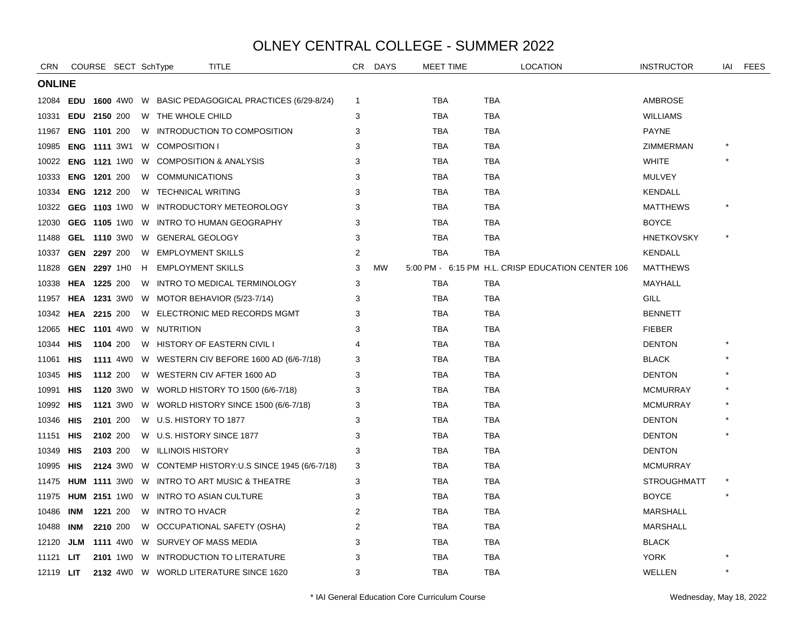| <b>CRN</b>       |               | COURSE SECT SchType |  |  | TITLE                                                         | CR.         | <b>DAYS</b> | <b>MEET TIME</b> | <b>LOCATION</b>                                   | <b>INSTRUCTOR</b>  | iai     | <b>FEES</b> |  |
|------------------|---------------|---------------------|--|--|---------------------------------------------------------------|-------------|-------------|------------------|---------------------------------------------------|--------------------|---------|-------------|--|
|                  | <b>ONLINE</b> |                     |  |  |                                                               |             |             |                  |                                                   |                    |         |             |  |
| 12084            |               |                     |  |  | <b>EDU 1600 4W0 W BASIC PEDAGOGICAL PRACTICES (6/29-8/24)</b> | $\mathbf 1$ |             | <b>TBA</b>       | <b>TBA</b>                                        | <b>AMBROSE</b>     |         |             |  |
| 10331            |               | EDU 2150 200        |  |  | W THE WHOLE CHILD                                             | 3           |             | <b>TBA</b>       | <b>TBA</b>                                        | <b>WILLIAMS</b>    |         |             |  |
| 11967            |               | <b>ENG 1101 200</b> |  |  | W INTRODUCTION TO COMPOSITION                                 | 3           |             | TBA              | <b>TBA</b>                                        | <b>PAYNE</b>       |         |             |  |
| 10985            |               |                     |  |  | <b>ENG 1111 3W1 W COMPOSITION I</b>                           | 3           |             | <b>TBA</b>       | <b>TBA</b>                                        | ZIMMERMAN          |         |             |  |
| 10022            |               |                     |  |  | <b>ENG 1121 1WO W COMPOSITION &amp; ANALYSIS</b>              | 3           |             | <b>TBA</b>       | <b>TBA</b>                                        | <b>WHITE</b>       |         |             |  |
| 10333            |               | <b>ENG 1201 200</b> |  |  | W COMMUNICATIONS                                              | 3           |             | <b>TBA</b>       | <b>TBA</b>                                        | <b>MULVEY</b>      |         |             |  |
| 10334            |               | <b>ENG 1212 200</b> |  |  | W TECHNICAL WRITING                                           | 3           |             | TBA              | TBA                                               | KENDALL            |         |             |  |
| 10322            |               |                     |  |  | GEG 1103 1W0 W INTRODUCTORY METEOROLOGY                       | 3           |             | <b>TBA</b>       | TBA                                               | <b>MATTHEWS</b>    | $\star$ |             |  |
| 12030            |               |                     |  |  | GEG 1105 1W0 W INTRO TO HUMAN GEOGRAPHY                       | 3           |             | <b>TBA</b>       | <b>TBA</b>                                        | <b>BOYCE</b>       |         |             |  |
| 11488            |               |                     |  |  | GEL 1110 3W0 W GENERAL GEOLOGY                                | 3           |             | TBA              | <b>TBA</b>                                        | <b>HNETKOVSKY</b>  |         |             |  |
| 10337            |               | <b>GEN 2297 200</b> |  |  | W EMPLOYMENT SKILLS                                           | 2           |             | TBA              | TBA                                               | KENDALL            |         |             |  |
| 11828            |               | GEN 2297 1H0        |  |  | H EMPLOYMENT SKILLS                                           | 3           | <b>MW</b>   |                  | 5:00 PM - 6:15 PM H.L. CRISP EDUCATION CENTER 106 | <b>MATTHEWS</b>    |         |             |  |
| 10338            |               | <b>HEA 1225 200</b> |  |  | W INTRO TO MEDICAL TERMINOLOGY                                | 3           |             | <b>TBA</b>       | <b>TBA</b>                                        | MAYHALL            |         |             |  |
| 11957            |               |                     |  |  | <b>HEA</b> 1231 3W0 W MOTOR BEHAVIOR $(5/23-7/14)$            | 3           |             | <b>TBA</b>       | <b>TBA</b>                                        | <b>GILL</b>        |         |             |  |
| 10342            |               | <b>HEA 2215 200</b> |  |  | W ELECTRONIC MED RECORDS MGMT                                 | 3           |             | TBA              | <b>TBA</b>                                        | <b>BENNETT</b>     |         |             |  |
| 12065            |               |                     |  |  | <b>HEC 1101 4W0 W NUTRITION</b>                               | 3           |             | <b>TBA</b>       | <b>TBA</b>                                        | <b>FIEBER</b>      |         |             |  |
| 10344            | HIS           | 1104 200            |  |  | W HISTORY OF EASTERN CIVIL I                                  |             |             | <b>TBA</b>       | <b>TBA</b>                                        | <b>DENTON</b>      |         |             |  |
| 11061            | HIS           |                     |  |  | 1111 4W0 W WESTERN CIV BEFORE 1600 AD (6/6-7/18)              | 3           |             | TBA              | <b>TBA</b>                                        | <b>BLACK</b>       |         |             |  |
| 10345            | HIS           | 1112 200            |  |  | W WESTERN CIV AFTER 1600 AD                                   | 3           |             | TBA              | TBA                                               | <b>DENTON</b>      |         |             |  |
| 10991            | HIS           |                     |  |  | 1120 3W0 W WORLD HISTORY TO 1500 (6/6-7/18)                   | 3           |             | <b>TBA</b>       | <b>TBA</b>                                        | <b>MCMURRAY</b>    |         |             |  |
| 10992            | HIS           |                     |  |  | 1121 3W0 W WORLD HISTORY SINCE 1500 (6/6-7/18)                | 3           |             | TBA              | <b>TBA</b>                                        | <b>MCMURRAY</b>    |         |             |  |
| 10346            | HIS           | 2101 200            |  |  | W U.S. HISTORY TO 1877                                        | 3           |             | <b>TBA</b>       | <b>TBA</b>                                        | <b>DENTON</b>      |         |             |  |
| 11151            | HIS           | 2102 200            |  |  | W U.S. HISTORY SINCE 1877                                     | 3           |             | TBA              | TBA                                               | <b>DENTON</b>      |         |             |  |
| 10349            | HIS           | 2103 200            |  |  | W ILLINOIS HISTORY                                            | 3           |             | <b>TBA</b>       | <b>TBA</b>                                        | <b>DENTON</b>      |         |             |  |
| 10995            | HIS           |                     |  |  | 2124 3W0 W CONTEMP HISTORY: U.S SINCE 1945 (6/6-7/18)         | 3           |             | TBA              | <b>TBA</b>                                        | <b>MCMURRAY</b>    |         |             |  |
| 11475            |               |                     |  |  | <b>HUM 1111 3WO W INTRO TO ART MUSIC &amp; THEATRE</b>        | 3           |             | TBA              | <b>TBA</b>                                        | <b>STROUGHMATT</b> |         |             |  |
| 11975            |               |                     |  |  | <b>HUM 2151 1WO W INTRO TO ASIAN CULTURE</b>                  | 3           |             | TBA              | TBA                                               | <b>BOYCE</b>       |         |             |  |
| 10486            | INM           | 1221 200            |  |  | W INTRO TO HVACR                                              | 2           |             | <b>TBA</b>       | <b>TBA</b>                                        | <b>MARSHALL</b>    |         |             |  |
| 10488            | INM           | 2210 200            |  |  | W OCCUPATIONAL SAFETY (OSHA)                                  | 2           |             | <b>TBA</b>       | <b>TBA</b>                                        | <b>MARSHALL</b>    |         |             |  |
| 12120            | JLM           |                     |  |  | 1111 4W0 W SURVEY OF MASS MEDIA                               | 3           |             | TBA              | TBA                                               | <b>BLACK</b>       |         |             |  |
| 11121            | LIT           |                     |  |  | 2101 1WO W INTRODUCTION TO LITERATURE                         | 3           |             | TBA              | <b>TBA</b>                                        | <b>YORK</b>        |         |             |  |
| 12119 <b>LIT</b> |               |                     |  |  | 2132 4W0 W WORLD LITERATURE SINCE 1620                        | 3           |             | <b>TBA</b>       | <b>TBA</b>                                        | WELLEN             |         |             |  |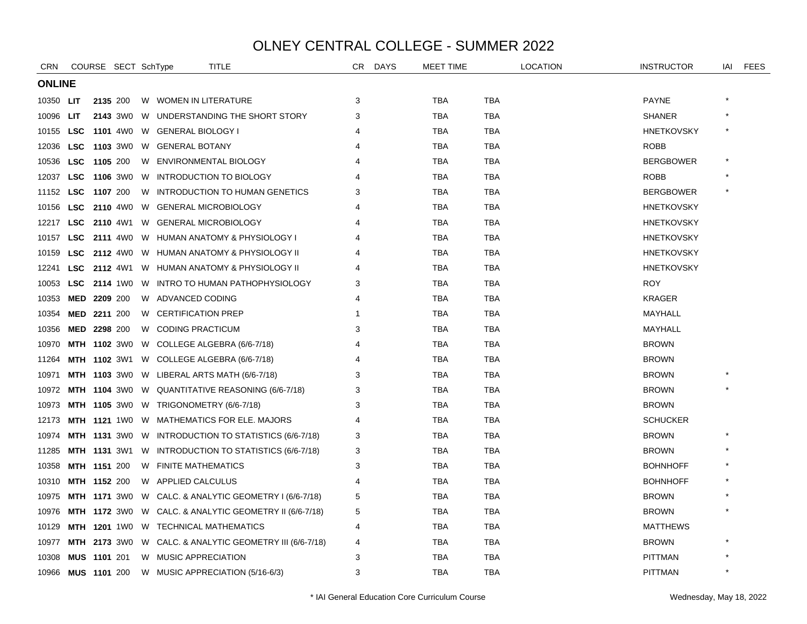| <b>CRN</b> |               | COURSE SECT SchType |  |  |                                             | <b>TITLE</b>                                                  | CR | <b>DAYS</b> | MEET TIME  |            | LOCATION | <b>INSTRUCTOR</b> | IAI | <b>FEES</b> |
|------------|---------------|---------------------|--|--|---------------------------------------------|---------------------------------------------------------------|----|-------------|------------|------------|----------|-------------------|-----|-------------|
|            | <b>ONLINE</b> |                     |  |  |                                             |                                                               |    |             |            |            |          |                   |     |             |
| 10350 LIT  |               | 2135 200            |  |  | W WOMEN IN LITERATURE                       |                                                               | 3  |             | <b>TBA</b> | TBA        |          | <b>PAYNE</b>      |     |             |
| 10096      | LIT           |                     |  |  |                                             | 2143 3W0 W UNDERSTANDING THE SHORT STORY                      | 3  |             | <b>TBA</b> | TBA        |          | <b>SHANER</b>     |     |             |
| 10155      | LSC           |                     |  |  | 1101 4W0 W GENERAL BIOLOGY I                |                                                               |    |             | <b>TBA</b> | <b>TBA</b> |          | <b>HNETKOVSKY</b> |     |             |
| 12036      | <b>LSC</b>    |                     |  |  | 1103 3W0 W GENERAL BOTANY                   |                                                               |    |             | <b>TBA</b> | <b>TBA</b> |          | <b>ROBB</b>       |     |             |
| 10536      | <b>LSC</b>    | 1105 200            |  |  | W ENVIRONMENTAL BIOLOGY                     |                                                               | 4  |             | <b>TBA</b> | <b>TBA</b> |          | <b>BERGBOWER</b>  |     |             |
| 12037      | <b>LSC</b>    | <b>1106</b> 3W0     |  |  |                                             | W INTRODUCTION TO BIOLOGY                                     |    |             | <b>TBA</b> | <b>TBA</b> |          | <b>ROBB</b>       |     |             |
| 11152      | <b>LSC</b>    | 1107 200            |  |  |                                             | W INTRODUCTION TO HUMAN GENETICS                              | З  |             | <b>TBA</b> | <b>TBA</b> |          | <b>BERGBOWER</b>  |     |             |
| 10156      |               |                     |  |  | LSC 2110 4W0 W GENERAL MICROBIOLOGY         |                                                               |    |             | <b>TBA</b> | <b>TBA</b> |          | <b>HNETKOVSKY</b> |     |             |
|            |               |                     |  |  | 12217 LSC 2110 4W1 W GENERAL MICROBIOLOGY   |                                                               |    |             | <b>TBA</b> | <b>TBA</b> |          | <b>HNETKOVSKY</b> |     |             |
| 10157      |               |                     |  |  |                                             | LSC 2111 4W0 W HUMAN ANATOMY & PHYSIOLOGY I                   |    |             | <b>TBA</b> | <b>TBA</b> |          | <b>HNETKOVSKY</b> |     |             |
| 10159      | <b>LSC</b>    |                     |  |  |                                             | 2112 4W0 W HUMAN ANATOMY & PHYSIOLOGY II                      |    |             | <b>TBA</b> | TBA        |          | <b>HNETKOVSKY</b> |     |             |
| 12241      | <b>LSC</b>    |                     |  |  |                                             | 2112 4W1 W HUMAN ANATOMY & PHYSIOLOGY II                      |    |             | <b>TBA</b> | TBA        |          | <b>HNETKOVSKY</b> |     |             |
| 10053      |               |                     |  |  |                                             | LSC 2114 1W0 W INTRO TO HUMAN PATHOPHYSIOLOGY                 | 3  |             | <b>TBA</b> | <b>TBA</b> |          | <b>ROY</b>        |     |             |
| 10353      |               | MED 2209 200        |  |  | W ADVANCED CODING                           |                                                               | 4  |             | <b>TBA</b> | <b>TBA</b> |          | <b>KRAGER</b>     |     |             |
| 10354      |               | MED 2211 200        |  |  | W CERTIFICATION PREP                        |                                                               |    |             | <b>TBA</b> | <b>TBA</b> |          | MAYHALL           |     |             |
| 10356      |               | MED 2298 200        |  |  | W CODING PRACTICUM                          |                                                               | 3  |             | <b>TBA</b> | <b>TBA</b> |          | MAYHALL           |     |             |
| 10970      |               |                     |  |  |                                             | MTH 1102 3W0 W COLLEGE ALGEBRA (6/6-7/18)                     |    |             | <b>TBA</b> | <b>TBA</b> |          | <b>BROWN</b>      |     |             |
| 11264      |               |                     |  |  |                                             | <b>MTH 1102 3W1 W COLLEGE ALGEBRA (6/6-7/18)</b>              |    |             | <b>TBA</b> | <b>TBA</b> |          | <b>BROWN</b>      |     |             |
| 10971      |               |                     |  |  |                                             | <b>MTH 1103</b> 3W0 W LIBERAL ARTS MATH (6/6-7/18)            |    |             | <b>TBA</b> | <b>TBA</b> |          | <b>BROWN</b>      |     |             |
| 10972      |               |                     |  |  |                                             | <b>MTH 1104</b> 3W0 W QUANTITATIVE REASONING (6/6-7/18)       | 3  |             | <b>TBA</b> | <b>TBA</b> |          | <b>BROWN</b>      |     |             |
| 10973      |               |                     |  |  | MTH 1105 3W0 W TRIGONOMETRY (6/6-7/18)      |                                                               | 3  |             | <b>TBA</b> | TBA        |          | <b>BROWN</b>      |     |             |
| 12173      |               |                     |  |  |                                             | <b>MTH 1121 1WO W MATHEMATICS FOR ELE. MAJORS</b>             |    |             | <b>TBA</b> | TBA        |          | <b>SCHUCKER</b>   |     |             |
| 10974      |               |                     |  |  |                                             | <b>MTH 1131 3WO W INTRODUCTION TO STATISTICS (6/6-7/18)</b>   | 3  |             | <b>TBA</b> | <b>TBA</b> |          | <b>BROWN</b>      |     |             |
| 11285      |               |                     |  |  |                                             | MTH 1131 3W1 W INTRODUCTION TO STATISTICS (6/6-7/18)          | 3  |             | <b>TBA</b> | TBA        |          | <b>BROWN</b>      |     |             |
| 10358      |               | <b>MTH 1151 200</b> |  |  | W FINITE MATHEMATICS                        |                                                               | 3  |             | <b>TBA</b> | TBA        |          | <b>BOHNHOFF</b>   |     |             |
| 10310      |               | MTH 1152 200        |  |  | W APPLIED CALCULUS                          |                                                               | 4  |             | <b>TBA</b> | <b>TBA</b> |          | <b>BOHNHOFF</b>   |     |             |
| 10975      |               |                     |  |  |                                             | MTH 1171 3WO W CALC. & ANALYTIC GEOMETRY I (6/6-7/18)         | 5  |             | <b>TBA</b> | <b>TBA</b> |          | <b>BROWN</b>      |     |             |
| 10976      |               |                     |  |  |                                             | <b>MTH 1172</b> 3W0 W CALC. & ANALYTIC GEOMETRY II (6/6-7/18) | 5  |             | <b>TBA</b> | <b>TBA</b> |          | <b>BROWN</b>      |     |             |
| 10129      |               |                     |  |  | <b>MTH 1201 1WO W TECHNICAL MATHEMATICS</b> |                                                               | 4  |             | <b>TBA</b> | <b>TBA</b> |          | <b>MATTHEWS</b>   |     |             |
| 10977      |               |                     |  |  |                                             | MTH 2173 3W0 W CALC. & ANALYTIC GEOMETRY III (6/6-7/18)       | 4  |             | <b>TBA</b> | <b>TBA</b> |          | <b>BROWN</b>      |     |             |
| 10308      |               | <b>MUS 1101 201</b> |  |  | W MUSIC APPRECIATION                        |                                                               | 3  |             | <b>TBA</b> | TBA        |          | <b>PITTMAN</b>    |     |             |
| 10966      |               | <b>MUS 1101 200</b> |  |  |                                             | W MUSIC APPRECIATION (5/16-6/3)                               | 3  |             | <b>TBA</b> | <b>TBA</b> |          | <b>PITTMAN</b>    |     |             |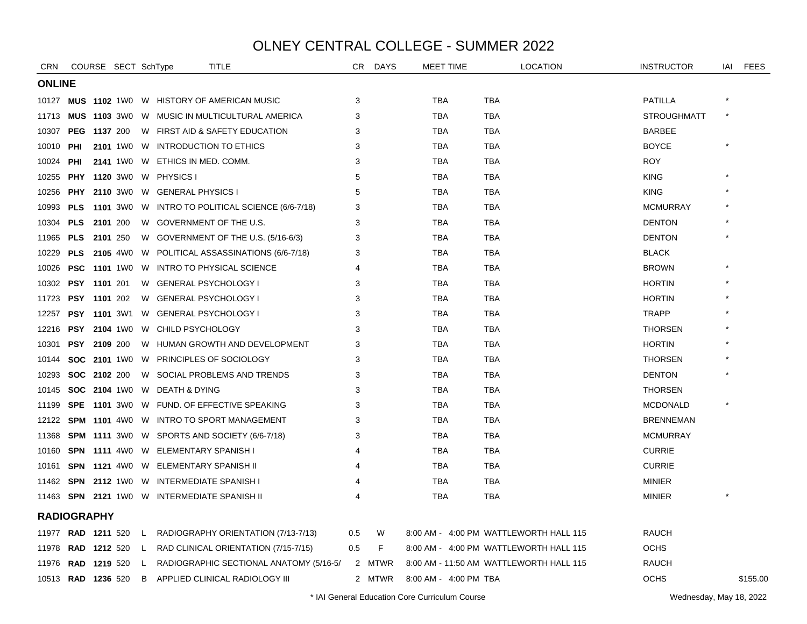| <b>CRN</b>                |              | COURSE SECT SchType |    |                                                 | TITLE                                                       | CR  | <b>DAYS</b> | <b>MEET TIME</b>      | <b>LOCATION</b>                         | <b>INSTRUCTOR</b>  | IAI     | <b>FEES</b> |
|---------------------------|--------------|---------------------|----|-------------------------------------------------|-------------------------------------------------------------|-----|-------------|-----------------------|-----------------------------------------|--------------------|---------|-------------|
| <b>ONLINE</b>             |              |                     |    |                                                 |                                                             |     |             |                       |                                         |                    |         |             |
|                           |              |                     |    | 10127 MUS 1102 1W0 W HISTORY OF AMERICAN MUSIC  |                                                             | 3   |             | TBA                   | TBA                                     | <b>PATILLA</b>     |         |             |
| 11713                     |              |                     |    |                                                 | <b>MUS 1103 3WO W MUSIC IN MULTICULTURAL AMERICA</b>        | 3   |             | TBA                   | <b>TBA</b>                              | <b>STROUGHMATT</b> |         |             |
| 10307                     |              | <b>PEG 1137 200</b> |    |                                                 | W FIRST AID & SAFETY EDUCATION                              | 3   |             | <b>TBA</b>            | <b>TBA</b>                              | <b>BARBEE</b>      |         |             |
| 10010                     | PHI          |                     |    | 2101 1WO W INTRODUCTION TO ETHICS               |                                                             | 3   |             | <b>TBA</b>            | <b>TBA</b>                              | <b>BOYCE</b>       |         |             |
| 10024                     | <b>PHI</b>   |                     |    | 2141 1W0 W ETHICS IN MED. COMM.                 |                                                             | 3   |             | <b>TBA</b>            | <b>TBA</b>                              | <b>ROY</b>         |         |             |
| 10255                     |              |                     |    | PHY 1120 3WO W PHYSICS I                        |                                                             | 5   |             | <b>TBA</b>            | <b>TBA</b>                              | <b>KING</b>        |         |             |
| 10256                     |              |                     |    | <b>PHY 2110 3WO W GENERAL PHYSICS I</b>         |                                                             | 5   |             | <b>TBA</b>            | <b>TBA</b>                              | <b>KING</b>        |         |             |
| 10993                     |              |                     |    |                                                 | <b>PLS 1101</b> 3W0 W INTRO TO POLITICAL SCIENCE (6/6-7/18) | 3   |             | <b>TBA</b>            | <b>TBA</b>                              | <b>MCMURRAY</b>    |         |             |
| 10304                     |              | PLS 2101 200        |    | W GOVERNMENT OF THE U.S.                        |                                                             | 3   |             | <b>TBA</b>            | <b>TBA</b>                              | <b>DENTON</b>      |         |             |
| 11965                     | PLS 2101 250 |                     |    |                                                 | W GOVERNMENT OF THE U.S. (5/16-6/3)                         | 3   |             | TBA                   | TBA                                     | <b>DENTON</b>      |         |             |
|                           |              |                     |    |                                                 | 10229 PLS 2105 4W0 W POLITICAL ASSASSINATIONS (6/6-7/18)    | 3   |             | TBA                   | <b>TBA</b>                              | <b>BLACK</b>       |         |             |
| 10026                     |              |                     |    | <b>PSC 1101 1WO W INTRO TO PHYSICAL SCIENCE</b> |                                                             |     |             | <b>TBA</b>            | <b>TBA</b>                              | <b>BROWN</b>       |         |             |
| 10302                     |              | <b>PSY 1101 201</b> |    | W GENERAL PSYCHOLOGY I                          |                                                             | 3   |             | <b>TBA</b>            | <b>TBA</b>                              | <b>HORTIN</b>      |         |             |
| 11723                     |              | <b>PSY 1101 202</b> |    | W GENERAL PSYCHOLOGY I                          |                                                             | 3   |             | <b>TBA</b>            | <b>TBA</b>                              | <b>HORTIN</b>      |         |             |
| 12257                     |              | <b>PSY 1101 3W1</b> |    | W GENERAL PSYCHOLOGY I                          |                                                             | 3   |             | <b>TBA</b>            | <b>TBA</b>                              | <b>TRAPP</b>       |         |             |
| 12216                     |              |                     |    | PSY 2104 1W0 W CHILD PSYCHOLOGY                 |                                                             | 3   |             | <b>TBA</b>            | <b>TBA</b>                              | <b>THORSEN</b>     |         |             |
| 10301                     |              | PSY 2109 200        |    |                                                 | W HUMAN GROWTH AND DEVELOPMENT                              | 3   |             | <b>TBA</b>            | <b>TBA</b>                              | <b>HORTIN</b>      |         |             |
| 10144                     |              |                     |    | SOC 2101 1W0 W PRINCIPLES OF SOCIOLOGY          |                                                             | 3   |             | <b>TBA</b>            | <b>TBA</b>                              | <b>THORSEN</b>     |         |             |
| 10293                     |              | <b>SOC 2102 200</b> |    |                                                 | W SOCIAL PROBLEMS AND TRENDS                                | 3   |             | TBA                   | TBA                                     | <b>DENTON</b>      |         |             |
| 10145                     |              |                     |    | SOC 2104 1W0 W DEATH & DYING                    |                                                             | 3   |             | <b>TBA</b>            | <b>TBA</b>                              | <b>THORSEN</b>     |         |             |
| 11199                     |              |                     |    |                                                 | SPE 1101 3W0 W FUND. OF EFFECTIVE SPEAKING                  | 3   |             | <b>TBA</b>            | <b>TBA</b>                              | <b>MCDONALD</b>    | $\star$ |             |
|                           |              |                     |    |                                                 | 12122 SPM 1101 4W0 W INTRO TO SPORT MANAGEMENT              | 3   |             | <b>TBA</b>            | <b>TBA</b>                              | <b>BRENNEMAN</b>   |         |             |
|                           |              |                     |    |                                                 | 11368 <b>SPM 1111</b> 3W0 W SPORTS AND SOCIETY (6/6-7/18)   | 3   |             | TBA                   | <b>TBA</b>                              | <b>MCMURRAY</b>    |         |             |
| 10160                     |              |                     |    | <b>SPN 1111 4WO W ELEMENTARY SPANISH I</b>      |                                                             | Δ   |             | TBA                   | TBA                                     | <b>CURRIE</b>      |         |             |
| 10161                     |              |                     |    | <b>SPN 1121 4WO W ELEMENTARY SPANISH II</b>     |                                                             |     |             | TBA                   | TBA                                     | <b>CURRIE</b>      |         |             |
|                           |              |                     |    | 11462 SPN 2112 1W0 W INTERMEDIATE SPANISH I     |                                                             |     |             | <b>TBA</b>            | <b>TBA</b>                              | <b>MINIER</b>      |         |             |
|                           |              |                     |    | 11463 SPN 2121 1W0 W INTERMEDIATE SPANISH II    |                                                             | 4   |             | <b>TBA</b>            | <b>TBA</b>                              | <b>MINIER</b>      |         |             |
| <b>RADIOGRAPHY</b>        |              |                     |    |                                                 |                                                             |     |             |                       |                                         |                    |         |             |
| 11977 <b>RAD 1211</b> 520 |              |                     |    |                                                 | L RADIOGRAPHY ORIENTATION (7/13-7/13)                       | 0.5 | W           |                       | 8:00 AM - 4:00 PM WATTLEWORTH HALL 115  | <b>RAUCH</b>       |         |             |
|                           |              |                     |    |                                                 | 11978 RAD 1212 520 L RAD CLINICAL ORIENTATION (7/15-7/15)   | 0.5 | F           |                       | 8:00 AM - 4:00 PM WATTLEWORTH HALL 115  | <b>OCHS</b>        |         |             |
| 11976                     |              | <b>RAD 1219 520</b> | L. |                                                 | RADIOGRAPHIC SECTIONAL ANATOMY (5/16-5/                     |     | 2 MTWR      |                       | 8:00 AM - 11:50 AM WATTLEWORTH HALL 115 | <b>RAUCH</b>       |         |             |
| 10513 RAD 1236 520        |              |                     |    |                                                 | B APPLIED CLINICAL RADIOLOGY III                            |     | 2 MTWR      | 8:00 AM - 4:00 PM TBA |                                         | <b>OCHS</b>        |         | \$155.00    |